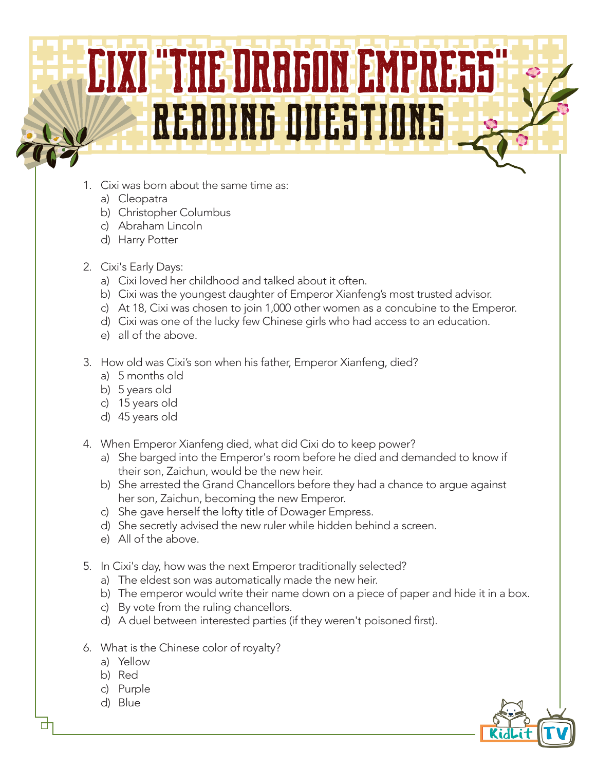## Cixi **"**The Dragon Empress**"** reading questions

- 1. Cixi was born about the same time as:
	- a) Cleopatra
	- b) Christopher Columbus
	- c) Abraham Lincoln
	- d) Harry Potter
- 2. Cixi's Early Days:
	- a) Cixi loved her childhood and talked about it often.
	- b) Cixi was the youngest daughter of Emperor Xianfeng's most trusted advisor.
	- c) At 18, Cixi was chosen to join 1,000 other women as a concubine to the Emperor.
	- d) Cixi was one of the lucky few Chinese girls who had access to an education.
	- e) all of the above.
- 3. How old was Cixi's son when his father, Emperor Xianfeng, died?
	- a) 5 months old
	- b) 5 years old
	- c) 15 years old
	- d) 45 years old
- 4. When Emperor Xianfeng died, what did Cixi do to keep power?
	- a) She barged into the Emperor's room before he died and demanded to know if their son, Zaichun, would be the new heir.
	- b) She arrested the Grand Chancellors before they had a chance to argue against her son, Zaichun, becoming the new Emperor.
	- c) She gave herself the lofty title of Dowager Empress.
	- d) She secretly advised the new ruler while hidden behind a screen.
	- e) All of the above.
- 5. In Cixi's day, how was the next Emperor traditionally selected?
	- a) The eldest son was automatically made the new heir.
	- b) The emperor would write their name down on a piece of paper and hide it in a box.
	- c) By vote from the ruling chancellors.
	- d) A duel between interested parties (if they weren't poisoned first).
- 6. What is the Chinese color of royalty?
	- a) Yellow
	- b) Red
	- c) Purple
	- d) Blue

п